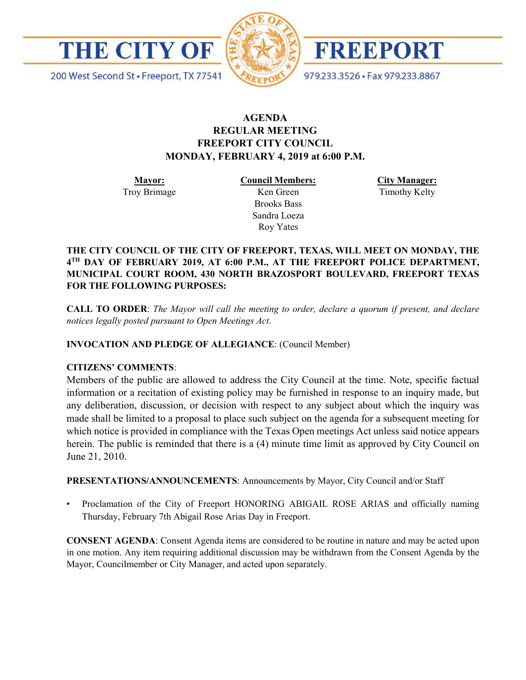

200 West Second St · Freeport, TX 77541



**FREEPORT** 

979.233.3526 · Fax 979.233.8867

# **AGENDA REGULAR MEETING FREEPORT CITY COUNCIL MONDAY, FEBRUARY 4, 2019 at 6:00 P.M.**

**Mayor:** Troy Brimage **Council Members:** Ken Green

> Brooks Bass Sandra Loeza Roy Yates

**City Manager:**

Timothy Kelty

**THE CITY COUNCIL OF THE CITY OF FREEPORT, TEXAS, WILL MEET ON MONDAY, THE 4TH DAY OF FEBRUARY 2019, AT 6:00 P.M., AT THE FREEPORT POLICE DEPARTMENT, MUNICIPAL COURT ROOM, 430 NORTH BRAZOSPORT BOULEVARD, FREEPORT TEXAS FOR THE FOLLOWING PURPOSES:**

**CALL TO ORDER**: *The Mayor will call the meeting to order, declare a quorum if present, and declare notices legally posted pursuant to Open Meetings Act*.

**INVOCATION AND PLEDGE OF ALLEGIANCE**: (Council Member)

## **CITIZENS' COMMENTS**:

Members of the public are allowed to address the City Council at the time. Note, specific factual information or a recitation of existing policy may be furnished in response to an inquiry made, but any deliberation, discussion, or decision with respect to any subject about which the inquiry was made shall be limited to a proposal to place such subject on the agenda for a subsequent meeting for which notice is provided in compliance with the Texas Open meetings Act unless said notice appears herein. The public is reminded that there is a (4) minute time limit as approved by City Council on June 21, 2010.

**PRESENTATIONS/ANNOUNCEMENTS**: Announcements by Mayor, City Council and/or Staff

• Proclamation of the City of Freeport HONORING ABIGAIL ROSE ARIAS and officially naming Thursday, February 7th Abigail Rose Arias Day in Freeport.

**CONSENT AGENDA**: Consent Agenda items are considered to be routine in nature and may be acted upon in one motion. Any item requiring additional discussion may be withdrawn from the Consent Agenda by the Mayor, Councilmember or City Manager, and acted upon separately.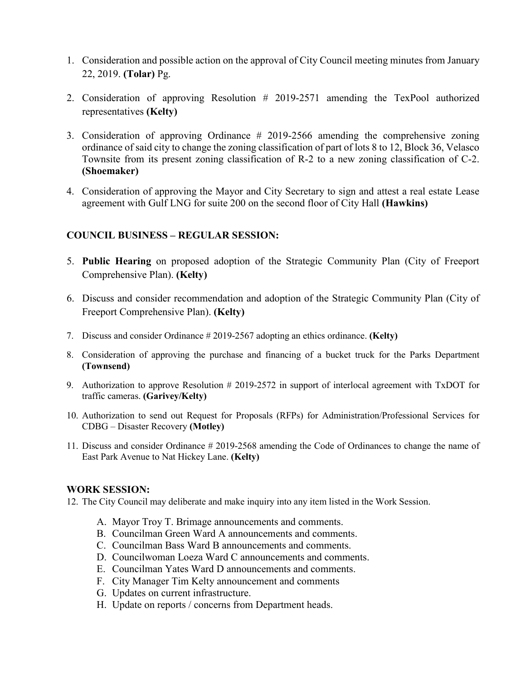- 1. Consideration and possible action on the approval of City Council meeting minutes from January 22, 2019. **(Tolar)** Pg.
- 2. Consideration of approving Resolution # 2019-2571 amending the TexPool authorized representatives **(Kelty)**
- 3. Consideration of approving Ordinance # 2019-2566 amending the comprehensive zoning ordinance of said city to change the zoning classification of part of lots 8 to 12, Block 36, Velasco Townsite from its present zoning classification of R-2 to a new zoning classification of C-2. **(Shoemaker)**
- 4. Consideration of approving the Mayor and City Secretary to sign and attest a real estate Lease agreement with Gulf LNG for suite 200 on the second floor of City Hall **(Hawkins)**

## **COUNCIL BUSINESS – REGULAR SESSION:**

- 5. **Public Hearing** on proposed adoption of the Strategic Community Plan (City of Freeport Comprehensive Plan). **(Kelty)**
- 6. Discuss and consider recommendation and adoption of the Strategic Community Plan (City of Freeport Comprehensive Plan). **(Kelty)**
- 7. Discuss and consider Ordinance # 2019-2567 adopting an ethics ordinance. **(Kelty)**
- 8. Consideration of approving the purchase and financing of a bucket truck for the Parks Department **(Townsend)**
- 9. Authorization to approve Resolution # 2019-2572 in support of interlocal agreement with TxDOT for traffic cameras. **(Garivey/Kelty)**
- 10. Authorization to send out Request for Proposals (RFPs) for Administration/Professional Services for CDBG – Disaster Recovery **(Motley)**
- 11. Discuss and consider Ordinance # 2019-2568 amending the Code of Ordinances to change the name of East Park Avenue to Nat Hickey Lane. **(Kelty)**

#### **WORK SESSION:**

12. The City Council may deliberate and make inquiry into any item listed in the Work Session.

- A. Mayor Troy T. Brimage announcements and comments.
- B. Councilman Green Ward A announcements and comments.
- C. Councilman Bass Ward B announcements and comments.
- D. Councilwoman Loeza Ward C announcements and comments.
- E. Councilman Yates Ward D announcements and comments.
- F. City Manager Tim Kelty announcement and comments
- G. Updates on current infrastructure.
- H. Update on reports / concerns from Department heads.